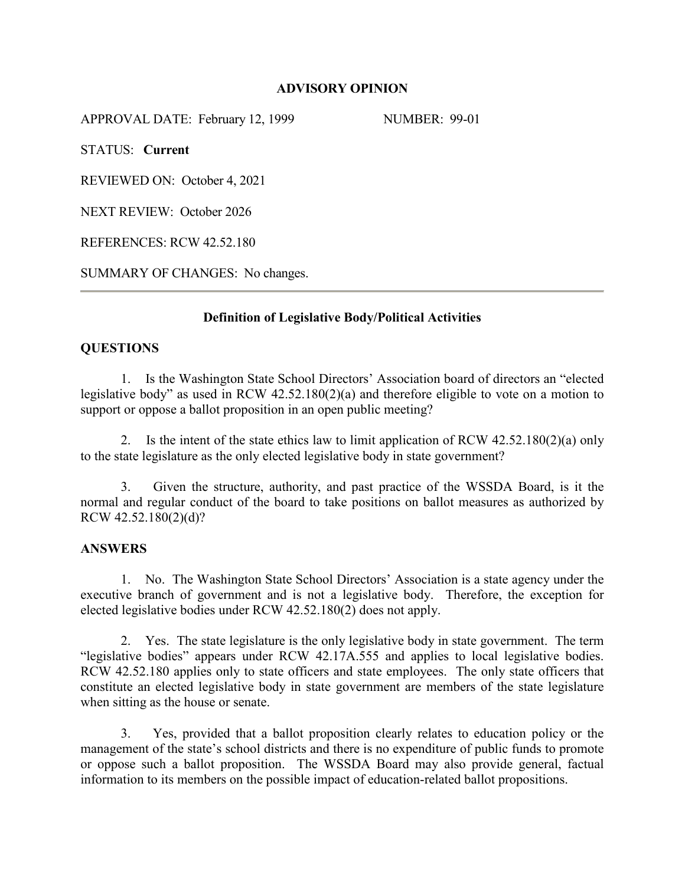### **ADVISORY OPINION**

APPROVAL DATE: February 12, 1999 NUMBER: 99-01

STATUS: **Current**

REVIEWED ON: October 4, 2021

NEXT REVIEW: October 2026

REFERENCES: RCW 42.52.180

SUMMARY OF CHANGES: No changes.

# **Definition of Legislative Body/Political Activities**

### **QUESTIONS**

1. Is the Washington State School Directors' Association board of directors an "elected legislative body" as used in RCW 42.52.180(2)(a) and therefore eligible to vote on a motion to support or oppose a ballot proposition in an open public meeting?

2. Is the intent of the state ethics law to limit application of RCW 42.52.180(2)(a) only to the state legislature as the only elected legislative body in state government?

3. Given the structure, authority, and past practice of the WSSDA Board, is it the normal and regular conduct of the board to take positions on ballot measures as authorized by RCW 42.52.180(2)(d)?

### **ANSWERS**

1. No. The Washington State School Directors' Association is a state agency under the executive branch of government and is not a legislative body. Therefore, the exception for elected legislative bodies under RCW 42.52.180(2) does not apply.

2. Yes. The state legislature is the only legislative body in state government. The term "legislative bodies" appears under RCW 42.17A.555 and applies to local legislative bodies. RCW 42.52.180 applies only to state officers and state employees. The only state officers that constitute an elected legislative body in state government are members of the state legislature when sitting as the house or senate.

3. Yes, provided that a ballot proposition clearly relates to education policy or the management of the state's school districts and there is no expenditure of public funds to promote or oppose such a ballot proposition. The WSSDA Board may also provide general, factual information to its members on the possible impact of education-related ballot propositions.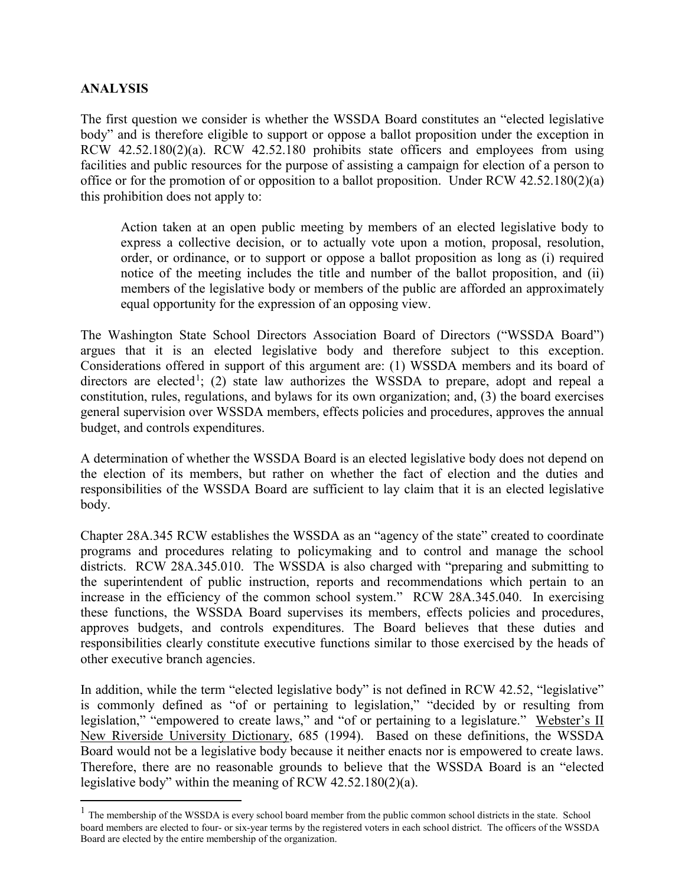# **ANALYSIS**

 $\overline{a}$ 

The first question we consider is whether the WSSDA Board constitutes an "elected legislative body" and is therefore eligible to support or oppose a ballot proposition under the exception in RCW 42.52.180(2)(a). RCW 42.52.180 prohibits state officers and employees from using facilities and public resources for the purpose of assisting a campaign for election of a person to office or for the promotion of or opposition to a ballot proposition. Under RCW 42.52.180(2)(a) this prohibition does not apply to:

Action taken at an open public meeting by members of an elected legislative body to express a collective decision, or to actually vote upon a motion, proposal, resolution, order, or ordinance, or to support or oppose a ballot proposition as long as (i) required notice of the meeting includes the title and number of the ballot proposition, and (ii) members of the legislative body or members of the public are afforded an approximately equal opportunity for the expression of an opposing view.

The Washington State School Directors Association Board of Directors ("WSSDA Board") argues that it is an elected legislative body and therefore subject to this exception. Considerations offered in support of this argument are: (1) WSSDA members and its board of directors are elected<sup>[1](#page-1-0)</sup>; (2) state law authorizes the WSSDA to prepare, adopt and repeal a constitution, rules, regulations, and bylaws for its own organization; and, (3) the board exercises general supervision over WSSDA members, effects policies and procedures, approves the annual budget, and controls expenditures.

A determination of whether the WSSDA Board is an elected legislative body does not depend on the election of its members, but rather on whether the fact of election and the duties and responsibilities of the WSSDA Board are sufficient to lay claim that it is an elected legislative body.

Chapter 28A.345 RCW establishes the WSSDA as an "agency of the state" created to coordinate programs and procedures relating to policymaking and to control and manage the school districts. RCW 28A.345.010. The WSSDA is also charged with "preparing and submitting to the superintendent of public instruction, reports and recommendations which pertain to an increase in the efficiency of the common school system." RCW 28A.345.040. In exercising these functions, the WSSDA Board supervises its members, effects policies and procedures, approves budgets, and controls expenditures. The Board believes that these duties and responsibilities clearly constitute executive functions similar to those exercised by the heads of other executive branch agencies.

In addition, while the term "elected legislative body" is not defined in RCW 42.52, "legislative" is commonly defined as "of or pertaining to legislation," "decided by or resulting from legislation," "empowered to create laws," and "of or pertaining to a legislature." Webster's II New Riverside University Dictionary, 685 (1994). Based on these definitions, the WSSDA Board would not be a legislative body because it neither enacts nor is empowered to create laws. Therefore, there are no reasonable grounds to believe that the WSSDA Board is an "elected legislative body" within the meaning of RCW 42.52.180(2)(a).

<span id="page-1-0"></span> $<sup>1</sup>$  The membership of the WSSDA is every school board member from the public common school districts in the state. School</sup> board members are elected to four- or six-year terms by the registered voters in each school district. The officers of the WSSDA Board are elected by the entire membership of the organization.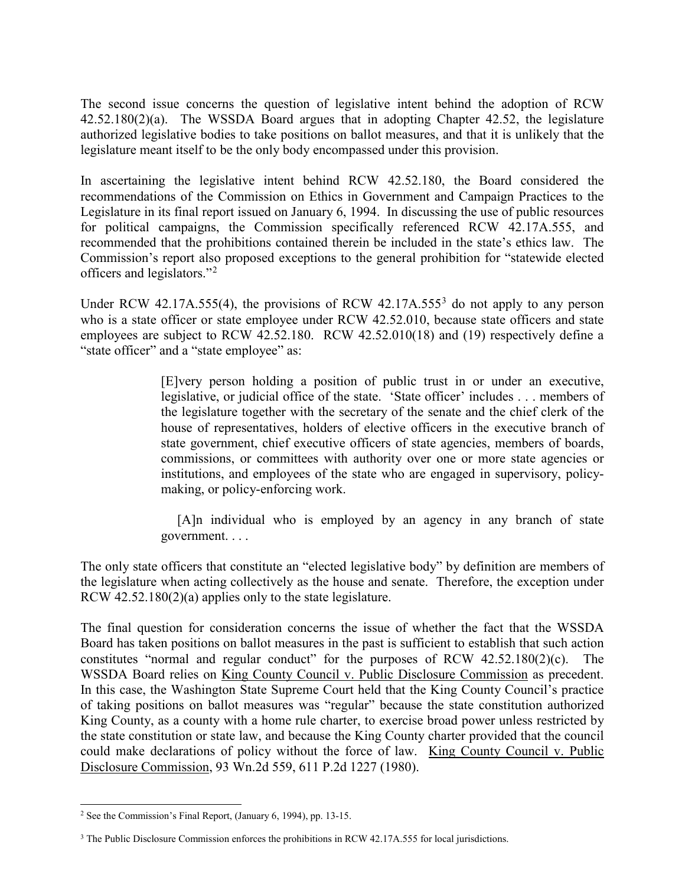The second issue concerns the question of legislative intent behind the adoption of RCW 42.52.180(2)(a). The WSSDA Board argues that in adopting Chapter 42.52, the legislature authorized legislative bodies to take positions on ballot measures, and that it is unlikely that the legislature meant itself to be the only body encompassed under this provision.

In ascertaining the legislative intent behind RCW 42.52.180, the Board considered the recommendations of the Commission on Ethics in Government and Campaign Practices to the Legislature in its final report issued on January 6, 1994. In discussing the use of public resources for political campaigns, the Commission specifically referenced RCW 42.17A.555, and recommended that the prohibitions contained therein be included in the state's ethics law. The Commission's report also proposed exceptions to the general prohibition for "statewide elected officers and legislators."[2](#page-2-0)

Under RCW 42.17A.555(4), the provisions of RCW 42.17A.555<sup>[3](#page-2-1)</sup> do not apply to any person who is a state officer or state employee under RCW 42.52.010, because state officers and state employees are subject to RCW 42.52.180. RCW 42.52.010(18) and (19) respectively define a "state officer" and a "state employee" as:

> [E]very person holding a position of public trust in or under an executive, legislative, or judicial office of the state. 'State officer' includes . . . members of the legislature together with the secretary of the senate and the chief clerk of the house of representatives, holders of elective officers in the executive branch of state government, chief executive officers of state agencies, members of boards, commissions, or committees with authority over one or more state agencies or institutions, and employees of the state who are engaged in supervisory, policymaking, or policy-enforcing work.

> [A]n individual who is employed by an agency in any branch of state government. . . .

The only state officers that constitute an "elected legislative body" by definition are members of the legislature when acting collectively as the house and senate. Therefore, the exception under RCW 42.52.180(2)(a) applies only to the state legislature.

The final question for consideration concerns the issue of whether the fact that the WSSDA Board has taken positions on ballot measures in the past is sufficient to establish that such action constitutes "normal and regular conduct" for the purposes of RCW  $42.52.180(2)(c)$ . The WSSDA Board relies on King County Council v. Public Disclosure Commission as precedent. In this case, the Washington State Supreme Court held that the King County Council's practice of taking positions on ballot measures was "regular" because the state constitution authorized King County, as a county with a home rule charter, to exercise broad power unless restricted by the state constitution or state law, and because the King County charter provided that the council could make declarations of policy without the force of law. King County Council v. Public Disclosure Commission, 93 Wn.2d 559, 611 P.2d 1227 (1980).

<span id="page-2-0"></span> $\overline{a}$  $2$  See the Commission's Final Report, (January 6, 1994), pp. 13-15.

<span id="page-2-1"></span><sup>&</sup>lt;sup>3</sup> The Public Disclosure Commission enforces the prohibitions in RCW 42.17A.555 for local jurisdictions.